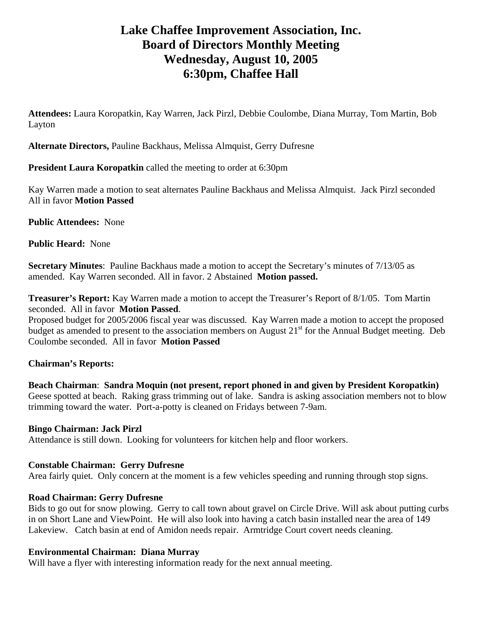# **Lake Chaffee Improvement Association, Inc. Board of Directors Monthly Meeting Wednesday, August 10, 2005 6:30pm, Chaffee Hall**

**Attendees:** Laura Koropatkin, Kay Warren, Jack Pirzl, Debbie Coulombe, Diana Murray, Tom Martin, Bob Layton

**Alternate Directors,** Pauline Backhaus, Melissa Almquist, Gerry Dufresne

**President Laura Koropatkin** called the meeting to order at 6:30pm

Kay Warren made a motion to seat alternates Pauline Backhaus and Melissa Almquist. Jack Pirzl seconded All in favor **Motion Passed**

**Public Attendees:** None

**Public Heard:** None

**Secretary Minutes**: Pauline Backhaus made a motion to accept the Secretary's minutes of 7/13/05 as amended. Kay Warren seconded. All in favor. 2 Abstained **Motion passed.** 

**Treasurer's Report:** Kay Warren made a motion to accept the Treasurer's Report of 8/1/05. Tom Martin seconded. All in favor **Motion Passed**.

Proposed budget for 2005/2006 fiscal year was discussed. Kay Warren made a motion to accept the proposed budget as amended to present to the association members on August 21<sup>st</sup> for the Annual Budget meeting. Deb Coulombe seconded. All in favor **Motion Passed**

# **Chairman's Reports:**

**Beach Chairman**: **Sandra Moquin (not present, report phoned in and given by President Koropatkin)** Geese spotted at beach. Raking grass trimming out of lake. Sandra is asking association members not to blow trimming toward the water. Port-a-potty is cleaned on Fridays between 7-9am.

#### **Bingo Chairman: Jack Pirzl**

Attendance is still down. Looking for volunteers for kitchen help and floor workers.

#### **Constable Chairman: Gerry Dufresne**

Area fairly quiet. Only concern at the moment is a few vehicles speeding and running through stop signs.

#### **Road Chairman: Gerry Dufresne**

Bids to go out for snow plowing. Gerry to call town about gravel on Circle Drive. Will ask about putting curbs in on Short Lane and ViewPoint. He will also look into having a catch basin installed near the area of 149 Lakeview. Catch basin at end of Amidon needs repair. Armtridge Court covert needs cleaning.

# **Environmental Chairman: Diana Murray**

Will have a flyer with interesting information ready for the next annual meeting.